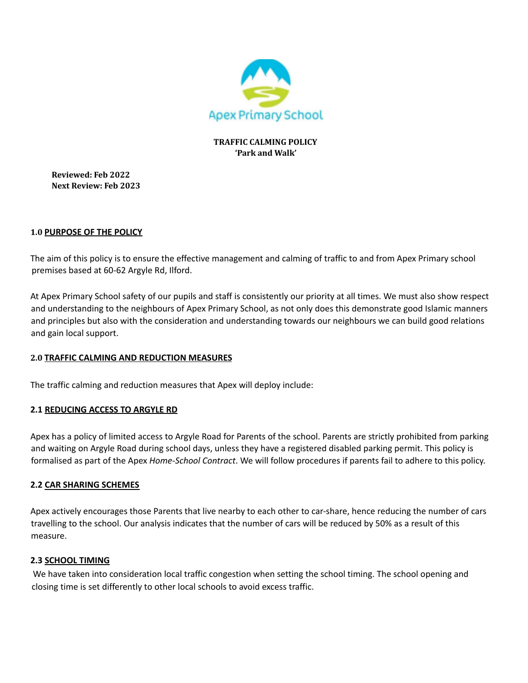

### **TRAFFIC CALMING POLICY 'Park and Walk'**

**Reviewed: Feb 2022 Next Review: Feb 2023**

## **1.0 PURPOSE OF THE POLICY**

The aim of this policy is to ensure the effective management and calming of traffic to and from Apex Primary school premises based at 60-62 Argyle Rd, Ilford.

At Apex Primary School safety of our pupils and staff is consistently our priority at all times. We must also show respect and understanding to the neighbours of Apex Primary School, as not only does this demonstrate good Islamic manners and principles but also with the consideration and understanding towards our neighbours we can build good relations and gain local support.

# **2.0 TRAFFIC CALMING AND REDUCTION MEASURES**

The traffic calming and reduction measures that Apex will deploy include:

# **2.1 REDUCING ACCESS TO ARGYLE RD**

Apex has a policy of limited access to Argyle Road for Parents of the school. Parents are strictly prohibited from parking and waiting on Argyle Road during school days, unless they have a registered disabled parking permit. This policy is formalised as part of the Apex *Home-School Contract*. We will follow procedures if parents fail to adhere to this policy.

### **2.2 CAR SHARING SCHEMES**

Apex actively encourages those Parents that live nearby to each other to car-share, hence reducing the number of cars travelling to the school. Our analysis indicates that the number of cars will be reduced by 50% as a result of this measure.

### **2.3 SCHOOL TIMING**

We have taken into consideration local traffic congestion when setting the school timing. The school opening and closing time is set differently to other local schools to avoid excess traffic.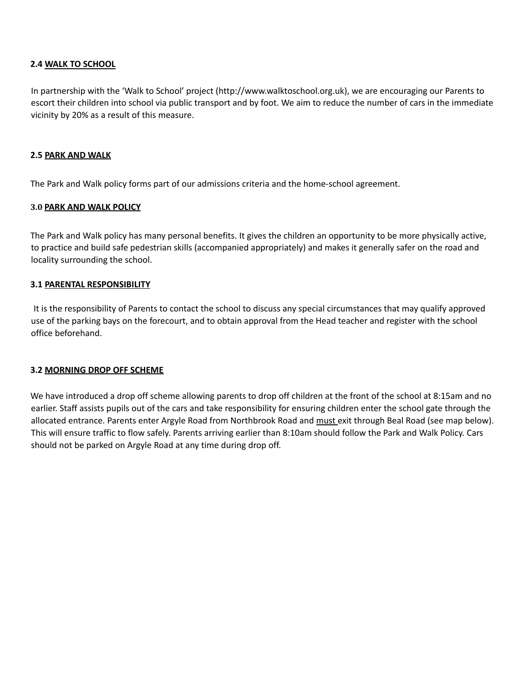### **2.4 WALK TO SCHOOL**

In partnership with the 'Walk to School' project (http://www.walktoschool.org.uk), we are encouraging our Parents to escort their children into school via public transport and by foot. We aim to reduce the number of cars in the immediate vicinity by 20% as a result of this measure.

### **2.5 PARK AND WALK**

The Park and Walk policy forms part of our admissions criteria and the home-school agreement.

### **3.0 PARK AND WALK POLICY**

The Park and Walk policy has many personal benefits. It gives the children an opportunity to be more physically active, to practice and build safe pedestrian skills (accompanied appropriately) and makes it generally safer on the road and locality surrounding the school.

### **3.1 PARENTAL RESPONSIBILITY**

It is the responsibility of Parents to contact the school to discuss any special circumstances that may qualify approved use of the parking bays on the forecourt, and to obtain approval from the Head teacher and register with the school office beforehand.

#### **3.2 MORNING DROP OFF SCHEME**

We have introduced a drop off scheme allowing parents to drop off children at the front of the school at 8:15am and no earlier. Staff assists pupils out of the cars and take responsibility for ensuring children enter the school gate through the allocated entrance. Parents enter Argyle Road from Northbrook Road and must exit through Beal Road (see map below). This will ensure traffic to flow safely. Parents arriving earlier than 8:10am should follow the Park and Walk Policy. Cars should not be parked on Argyle Road at any time during drop off.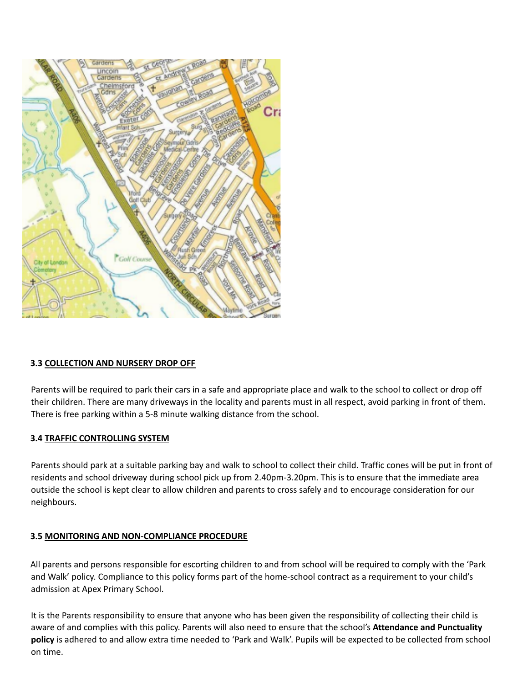

### **3.3 COLLECTION AND NURSERY DROP OFF**

Parents will be required to park their cars in a safe and appropriate place and walk to the school to collect or drop off their children. There are many driveways in the locality and parents must in all respect, avoid parking in front of them. There is free parking within a 5-8 minute walking distance from the school.

#### **3.4 TRAFFIC CONTROLLING SYSTEM**

Parents should park at a suitable parking bay and walk to school to collect their child. Traffic cones will be put in front of residents and school driveway during school pick up from 2.40pm-3.20pm. This is to ensure that the immediate area outside the school is kept clear to allow children and parents to cross safely and to encourage consideration for our neighbours.

### **3.5 MONITORING AND NON-COMPLIANCE PROCEDURE**

All parents and persons responsible for escorting children to and from school will be required to comply with the 'Park and Walk' policy. Compliance to this policy forms part of the home-school contract as a requirement to your child's admission at Apex Primary School.

It is the Parents responsibility to ensure that anyone who has been given the responsibility of collecting their child is aware of and complies with this policy. Parents will also need to ensure that the school's **Attendance and Punctuality policy** is adhered to and allow extra time needed to 'Park and Walk'. Pupils will be expected to be collected from school on time.